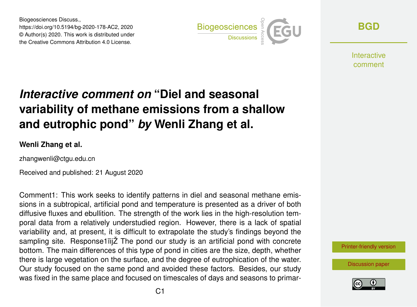Biogeosciences Discuss., https://doi.org/10.5194/bg-2020-178-AC2, 2020 © Author(s) 2020. This work is distributed under the Creative Commons Attribution 4.0 License.



**[BGD](https://bg.copernicus.org/preprints/)**

Interactive comment

# *Interactive comment on* **"Diel and seasonal variability of methane emissions from a shallow and eutrophic pond"** *by* **Wenli Zhang et al.**

#### **Wenli Zhang et al.**

zhangwenli@ctgu.edu.cn

Received and published: 21 August 2020

Comment1: This work seeks to identify patterns in diel and seasonal methane emissions in a subtropical, artificial pond and temperature is presented as a driver of both diffusive fluxes and ebullition. The strength of the work lies in the high-resolution temporal data from a relatively understudied region. However, there is a lack of spatial variability and, at present, it is difficult to extrapolate the study's findings beyond the sampling site. Response1ïijŽ The pond our study is an artificial pond with concrete bottom. The main differences of this type of pond in cities are the size, depth, whether there is large vegetation on the surface, and the degree of eutrophication of the water. Our study focused on the same pond and avoided these factors. Besides, our study was fixed in the same place and focused on timescales of days and seasons to primar-

[Printer-friendly version](https://bg.copernicus.org/preprints/bg-2020-178/bg-2020-178-AC2-print.pdf)

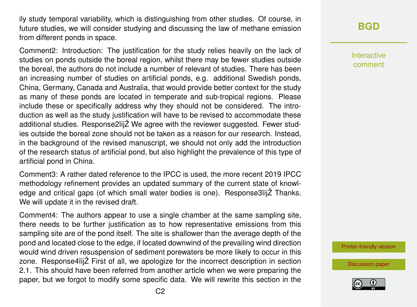ily study temporal variability, which is distinguishing from other studies. Of course, in future studies, we will consider studying and discussing the law of methane emission from different ponds in space.

Comment2: Introduction: The justification for the study relies heavily on the lack of studies on ponds outside the boreal region, whilst there may be fewer studies outside the boreal, the authors do not include a number of relevant of studies. There has been an increasing number of studies on artificial ponds, e.g. additional Swedish ponds, China, Germany, Canada and Australia, that would provide better context for the study as many of these ponds are located in temperate and sub-tropical regions. Please include these or specifically address why they should not be considered. The introduction as well as the study justification will have to be revised to accommodate these additional studies. Response2ïijŽ We agree with the reviewer suggested. Fewer studies outside the boreal zone should not be taken as a reason for our research. Instead, in the background of the revised manuscript, we should not only add the introduction of the research status of artificial pond, but also highlight the prevalence of this type of artificial pond in China.

Comment3: A rather dated reference to the IPCC is used, the more recent 2019 IPCC methodology refinement provides an updated summary of the current state of knowledge and critical gaps (of which small water bodies is one). Response3ïijŽ Thanks. We will update it in the revised draft.

Comment4: The authors appear to use a single chamber at the same sampling site, there needs to be further justification as to how representative emissions from this sampling site are of the pond itself. The site is shallower than the average depth of the pond and located close to the edge, if located downwind of the prevailing wind direction would wind driven resuspension of sediment porewaters be more likely to occur in this zone. Response4ïijŽ First of all, we apologize for the incorrect description in section 2.1. This should have been referred from another article when we were preparing the paper, but we forgot to modify some specific data. We will rewrite this section in the

#### **[BGD](https://bg.copernicus.org/preprints/)**

Interactive comment

[Printer-friendly version](https://bg.copernicus.org/preprints/bg-2020-178/bg-2020-178-AC2-print.pdf)

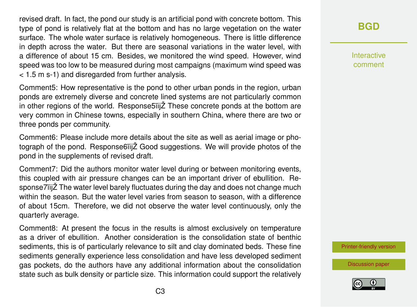revised draft. In fact, the pond our study is an artificial pond with concrete bottom. This type of pond is relatively flat at the bottom and has no large vegetation on the water surface. The whole water surface is relatively homogeneous. There is little difference in depth across the water. But there are seasonal variations in the water level, with a difference of about 15 cm. Besides, we monitored the wind speed. However, wind speed was too low to be measured during most campaigns (maximum wind speed was < 1.5 m s-1) and disregarded from further analysis.

Comment5: How representative is the pond to other urban ponds in the region, urban ponds are extremely diverse and concrete lined systems are not particularly common in other regions of the world. Response5ïijŽ These concrete ponds at the bottom are very common in Chinese towns, especially in southern China, where there are two or three ponds per community.

Comment6: Please include more details about the site as well as aerial image or photograph of the pond. Response6ïijŽ Good suggestions. We will provide photos of the pond in the supplements of revised draft.

Comment7: Did the authors monitor water level during or between monitoring events, this coupled with air pressure changes can be an important driver of ebullition. Response7ïijŽ The water level barely fluctuates during the day and does not change much within the season. But the water level varies from season to season, with a difference of about 15cm. Therefore, we did not observe the water level continuously, only the quarterly average.

Comment8: At present the focus in the results is almost exclusively on temperature as a driver of ebullition. Another consideration is the consolidation state of benthic sediments, this is of particularly relevance to silt and clay dominated beds. These fine sediments generally experience less consolidation and have less developed sediment gas pockets, do the authors have any additional information about the consolidation state such as bulk density or particle size. This information could support the relatively

## **[BGD](https://bg.copernicus.org/preprints/)**

Interactive comment

[Printer-friendly version](https://bg.copernicus.org/preprints/bg-2020-178/bg-2020-178-AC2-print.pdf)

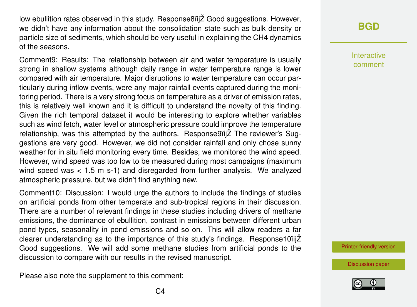low ebullition rates observed in this study. Response8ïijŽ Good suggestions. However, we didn't have any information about the consolidation state such as bulk density or particle size of sediments, which should be very useful in explaining the CH4 dynamics of the seasons.

Comment9: Results: The relationship between air and water temperature is usually strong in shallow systems although daily range in water temperature range is lower compared with air temperature. Major disruptions to water temperature can occur particularly during inflow events, were any major rainfall events captured during the monitoring period. There is a very strong focus on temperature as a driver of emission rates, this is relatively well known and it is difficult to understand the novelty of this finding. Given the rich temporal dataset it would be interesting to explore whether variables such as wind fetch, water level or atmospheric pressure could improve the temperature relationship, was this attempted by the authors. Response9ïijŽ The reviewer's Suggestions are very good. However, we did not consider rainfall and only chose sunny weather for in situ field monitoring every time. Besides, we monitored the wind speed. However, wind speed was too low to be measured during most campaigns (maximum wind speed was  $< 1.5$  m s-1) and disregarded from further analysis. We analyzed atmospheric pressure, but we didn't find anything new.

Comment10: Discussion: I would urge the authors to include the findings of studies on artificial ponds from other temperate and sub-tropical regions in their discussion. There are a number of relevant findings in these studies including drivers of methane emissions, the dominance of ebullition, contrast in emissions between different urban pond types, seasonality in pond emissions and so on. This will allow readers a far clearer understanding as to the importance of this study's findings. Response10ïijŽ Good suggestions. We will add some methane studies from artificial ponds to the discussion to compare with our results in the revised manuscript.

Please also note the supplement to this comment:

## **[BGD](https://bg.copernicus.org/preprints/)**

Interactive comment

[Printer-friendly version](https://bg.copernicus.org/preprints/bg-2020-178/bg-2020-178-AC2-print.pdf)